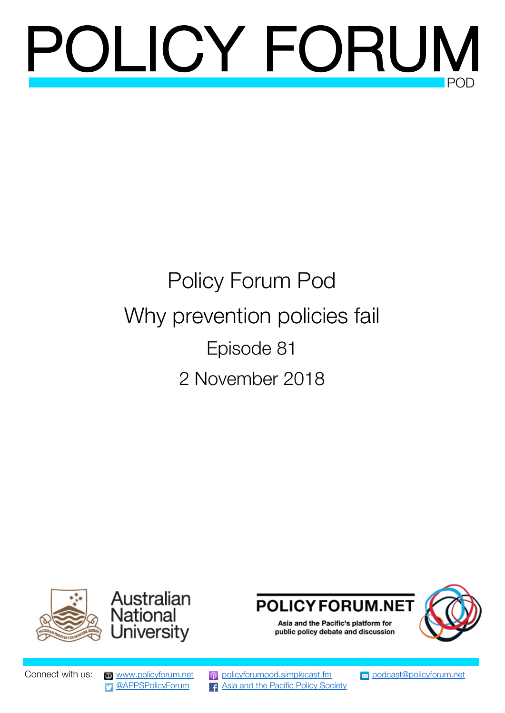# POLICY FORUN

## Policy Forum Pod Why prevention policies fail Episode 81 2 November 2018







public policy debate and discussion

Connect with us: [www.policyforum.net](http://www.policyforum.net/) [policyforumpod.simplecast.fm](https://policyforumpod.simplecast.fm/) [podcast@policyforum.net](mailto:podcast@policyforum.net) **[@APPSPolicyForum](https://twitter.com/appspolicyforum)** 4 Asia [and the Pacific Policy Society](https://www.facebook.com/asiapacificpolicysociety/)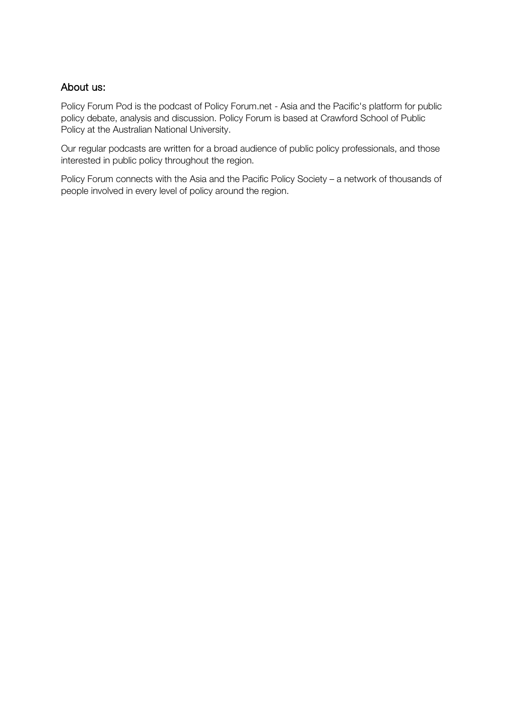#### About us:

Policy Forum Pod is the podcast of Policy Forum.net - Asia and the Pacific's platform for public policy debate, analysis and discussion. Policy Forum is based at Crawford School of Public Policy at the Australian National University.

Our regular podcasts are written for a broad audience of public policy professionals, and those interested in public policy throughout the region.

Policy Forum connects with the Asia and the Pacific Policy Society – a network of thousands of people involved in every level of policy around the region.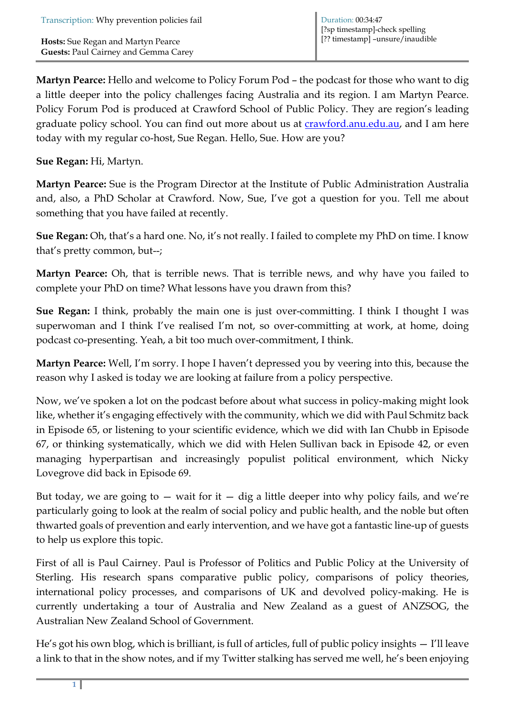**Martyn Pearce:** Hello and welcome to Policy Forum Pod – the podcast for those who want to dig a little deeper into the policy challenges facing Australia and its region. I am Martyn Pearce. Policy Forum Pod is produced at Crawford School of Public Policy. They are region's leading graduate policy school. You can find out more about us at **crawford.anu.edu.au**, and I am here today with my regular co-host, Sue Regan. Hello, Sue. How are you?

**Sue Regan:** Hi, Martyn.

**Martyn Pearce:** Sue is the Program Director at the Institute of Public Administration Australia and, also, a PhD Scholar at Crawford. Now, Sue, I've got a question for you. Tell me about something that you have failed at recently.

**Sue Regan:** Oh, that's a hard one. No, it's not really. I failed to complete my PhD on time. I know that's pretty common, but--;

**Martyn Pearce:** Oh, that is terrible news. That is terrible news, and why have you failed to complete your PhD on time? What lessons have you drawn from this?

**Sue Regan:** I think, probably the main one is just over-committing. I think I thought I was superwoman and I think I've realised I'm not, so over-committing at work, at home, doing podcast co-presenting. Yeah, a bit too much over-commitment, I think.

**Martyn Pearce:** Well, I'm sorry. I hope I haven't depressed you by veering into this, because the reason why I asked is today we are looking at failure from a policy perspective.

Now, we've spoken a lot on the podcast before about what success in policy-making might look like, whether it's engaging effectively with the community, which we did with Paul Schmitz back in Episode 65, or listening to your scientific evidence, which we did with Ian Chubb in Episode 67, or thinking systematically, which we did with Helen Sullivan back in Episode 42, or even managing hyperpartisan and increasingly populist political environment, which Nicky Lovegrove did back in Episode 69.

But today, we are going to  $-$  wait for it  $-$  dig a little deeper into why policy fails, and we're particularly going to look at the realm of social policy and public health, and the noble but often thwarted goals of prevention and early intervention, and we have got a fantastic line-up of guests to help us explore this topic.

First of all is Paul Cairney. Paul is Professor of Politics and Public Policy at the University of Sterling. His research spans comparative public policy, comparisons of policy theories, international policy processes, and comparisons of UK and devolved policy-making. He is currently undertaking a tour of Australia and New Zealand as a guest of ANZSOG, the Australian New Zealand School of Government.

He's got his own blog, which is brilliant, is full of articles, full of public policy insights — I'll leave a link to that in the show notes, and if my Twitter stalking has served me well, he's been enjoying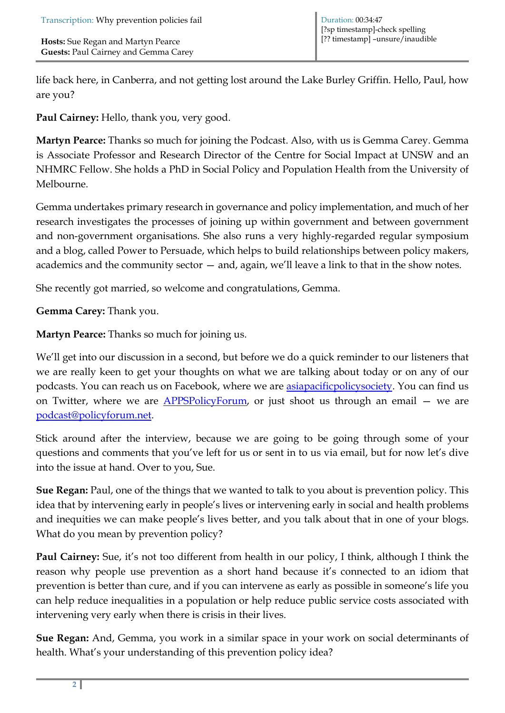life back here, in Canberra, and not getting lost around the Lake Burley Griffin. Hello, Paul, how are you?

**Paul Cairney:** Hello, thank you, very good.

**Martyn Pearce:** Thanks so much for joining the Podcast. Also, with us is Gemma Carey. Gemma is Associate Professor and Research Director of the Centre for Social Impact at UNSW and an NHMRC Fellow. She holds a PhD in Social Policy and Population Health from the University of Melbourne.

Gemma undertakes primary research in governance and policy implementation, and much of her research investigates the processes of joining up within government and between government and non-government organisations. She also runs a very highly-regarded regular symposium and a blog, called Power to Persuade, which helps to build relationships between policy makers, academics and the community sector — and, again, we'll leave a link to that in the show notes.

She recently got married, so welcome and congratulations, Gemma.

**Gemma Carey:** Thank you.

**Martyn Pearce:** Thanks so much for joining us.

We'll get into our discussion in a second, but before we do a quick reminder to our listeners that we are really keen to get your thoughts on what we are talking about today or on any of our podcasts. You can reach us on Facebook, where we are **asiapacificpolicysociety**. You can find us on Twitter, where we are  $APPSPolicyForm$ , or just shoot us through an email – we are [podcast@policyforum.net.](mailto:podcast@policyforum.net)

Stick around after the interview, because we are going to be going through some of your questions and comments that you've left for us or sent in to us via email, but for now let's dive into the issue at hand. Over to you, Sue.

**Sue Regan:** Paul, one of the things that we wanted to talk to you about is prevention policy. This idea that by intervening early in people's lives or intervening early in social and health problems and inequities we can make people's lives better, and you talk about that in one of your blogs. What do you mean by prevention policy?

**Paul Cairney:** Sue, it's not too different from health in our policy, I think, although I think the reason why people use prevention as a short hand because it's connected to an idiom that prevention is better than cure, and if you can intervene as early as possible in someone's life you can help reduce inequalities in a population or help reduce public service costs associated with intervening very early when there is crisis in their lives.

**Sue Regan:** And, Gemma, you work in a similar space in your work on social determinants of health. What's your understanding of this prevention policy idea?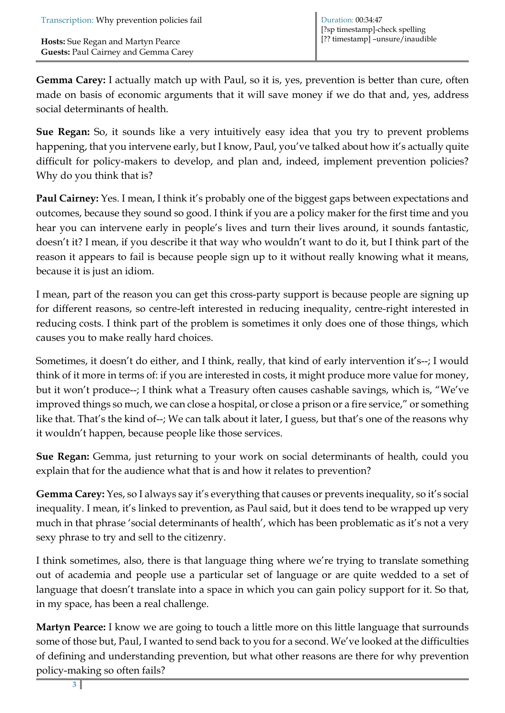**Gemma Carey:** I actually match up with Paul, so it is, yes, prevention is better than cure, often made on basis of economic arguments that it will save money if we do that and, yes, address social determinants of health.

**Sue Regan:** So, it sounds like a very intuitively easy idea that you try to prevent problems happening, that you intervene early, but I know, Paul, you've talked about how it's actually quite difficult for policy-makers to develop, and plan and, indeed, implement prevention policies? Why do you think that is?

**Paul Cairney:** Yes. I mean, I think it's probably one of the biggest gaps between expectations and outcomes, because they sound so good. I think if you are a policy maker for the first time and you hear you can intervene early in people's lives and turn their lives around, it sounds fantastic, doesn't it? I mean, if you describe it that way who wouldn't want to do it, but I think part of the reason it appears to fail is because people sign up to it without really knowing what it means, because it is just an idiom.

I mean, part of the reason you can get this cross-party support is because people are signing up for different reasons, so centre-left interested in reducing inequality, centre-right interested in reducing costs. I think part of the problem is sometimes it only does one of those things, which causes you to make really hard choices.

Sometimes, it doesn't do either, and I think, really, that kind of early intervention it's--; I would think of it more in terms of: if you are interested in costs, it might produce more value for money, but it won't produce--; I think what a Treasury often causes cashable savings, which is, "We've improved things so much, we can close a hospital, or close a prison or a fire service," or something like that. That's the kind of--; We can talk about it later, I guess, but that's one of the reasons why it wouldn't happen, because people like those services.

**Sue Regan:** Gemma, just returning to your work on social determinants of health, could you explain that for the audience what that is and how it relates to prevention?

**Gemma Carey:** Yes, so I always say it's everything that causes or prevents inequality, so it's social inequality. I mean, it's linked to prevention, as Paul said, but it does tend to be wrapped up very much in that phrase 'social determinants of health', which has been problematic as it's not a very sexy phrase to try and sell to the citizenry.

I think sometimes, also, there is that language thing where we're trying to translate something out of academia and people use a particular set of language or are quite wedded to a set of language that doesn't translate into a space in which you can gain policy support for it. So that, in my space, has been a real challenge.

**Martyn Pearce:** I know we are going to touch a little more on this little language that surrounds some of those but, Paul, I wanted to send back to you for a second. We've looked at the difficulties of defining and understanding prevention, but what other reasons are there for why prevention policy-making so often fails?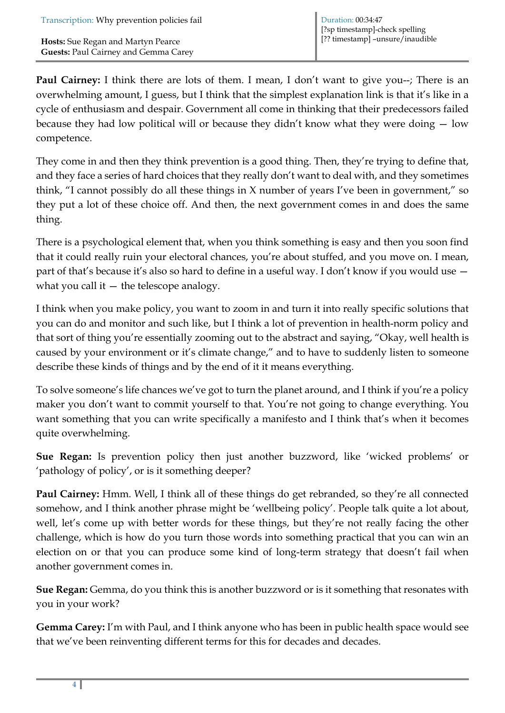**Paul Cairney:** I think there are lots of them. I mean, I don't want to give you--; There is an overwhelming amount, I guess, but I think that the simplest explanation link is that it's like in a cycle of enthusiasm and despair. Government all come in thinking that their predecessors failed because they had low political will or because they didn't know what they were doing — low competence.

They come in and then they think prevention is a good thing. Then, they're trying to define that, and they face a series of hard choices that they really don't want to deal with, and they sometimes think, "I cannot possibly do all these things in X number of years I've been in government," so they put a lot of these choice off. And then, the next government comes in and does the same thing.

There is a psychological element that, when you think something is easy and then you soon find that it could really ruin your electoral chances, you're about stuffed, and you move on. I mean, part of that's because it's also so hard to define in a useful way. I don't know if you would use  $$ what you call it  $-$  the telescope analogy.

I think when you make policy, you want to zoom in and turn it into really specific solutions that you can do and monitor and such like, but I think a lot of prevention in health-norm policy and that sort of thing you're essentially zooming out to the abstract and saying, "Okay, well health is caused by your environment or it's climate change," and to have to suddenly listen to someone describe these kinds of things and by the end of it it means everything.

To solve someone's life chances we've got to turn the planet around, and I think if you're a policy maker you don't want to commit yourself to that. You're not going to change everything. You want something that you can write specifically a manifesto and I think that's when it becomes quite overwhelming.

**Sue Regan:** Is prevention policy then just another buzzword, like 'wicked problems' or 'pathology of policy', or is it something deeper?

**Paul Cairney:** Hmm. Well, I think all of these things do get rebranded, so they're all connected somehow, and I think another phrase might be 'wellbeing policy'. People talk quite a lot about, well, let's come up with better words for these things, but they're not really facing the other challenge, which is how do you turn those words into something practical that you can win an election on or that you can produce some kind of long-term strategy that doesn't fail when another government comes in.

**Sue Regan:** Gemma, do you think this is another buzzword or is it something that resonates with you in your work?

**Gemma Carey:** I'm with Paul, and I think anyone who has been in public health space would see that we've been reinventing different terms for this for decades and decades.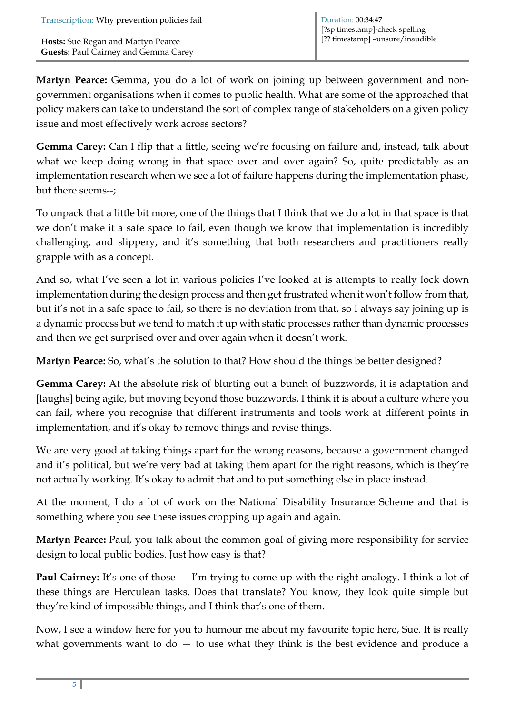**Martyn Pearce:** Gemma, you do a lot of work on joining up between government and nongovernment organisations when it comes to public health. What are some of the approached that policy makers can take to understand the sort of complex range of stakeholders on a given policy issue and most effectively work across sectors?

**Gemma Carey:** Can I flip that a little, seeing we're focusing on failure and, instead, talk about what we keep doing wrong in that space over and over again? So, quite predictably as an implementation research when we see a lot of failure happens during the implementation phase, but there seems--;

To unpack that a little bit more, one of the things that I think that we do a lot in that space is that we don't make it a safe space to fail, even though we know that implementation is incredibly challenging, and slippery, and it's something that both researchers and practitioners really grapple with as a concept.

And so, what I've seen a lot in various policies I've looked at is attempts to really lock down implementation during the design process and then get frustrated when it won't follow from that, but it's not in a safe space to fail, so there is no deviation from that, so I always say joining up is a dynamic process but we tend to match it up with static processes rather than dynamic processes and then we get surprised over and over again when it doesn't work.

**Martyn Pearce:** So, what's the solution to that? How should the things be better designed?

**Gemma Carey:** At the absolute risk of blurting out a bunch of buzzwords, it is adaptation and [laughs] being agile, but moving beyond those buzzwords, I think it is about a culture where you can fail, where you recognise that different instruments and tools work at different points in implementation, and it's okay to remove things and revise things.

We are very good at taking things apart for the wrong reasons, because a government changed and it's political, but we're very bad at taking them apart for the right reasons, which is they're not actually working. It's okay to admit that and to put something else in place instead.

At the moment, I do a lot of work on the National Disability Insurance Scheme and that is something where you see these issues cropping up again and again.

**Martyn Pearce:** Paul, you talk about the common goal of giving more responsibility for service design to local public bodies. Just how easy is that?

**Paul Cairney:** It's one of those  $-$  I'm trying to come up with the right analogy. I think a lot of these things are Herculean tasks. Does that translate? You know, they look quite simple but they're kind of impossible things, and I think that's one of them.

Now, I see a window here for you to humour me about my favourite topic here, Sue. It is really what governments want to  $do - to$  use what they think is the best evidence and produce a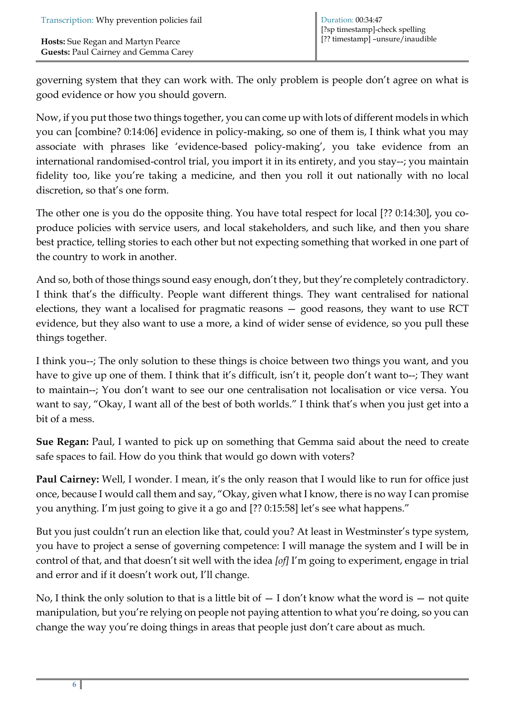governing system that they can work with. The only problem is people don't agree on what is good evidence or how you should govern.

Now, if you put those two things together, you can come up with lots of different models in which you can [combine? 0:14:06] evidence in policy-making, so one of them is, I think what you may associate with phrases like 'evidence-based policy-making', you take evidence from an international randomised-control trial, you import it in its entirety, and you stay--; you maintain fidelity too, like you're taking a medicine, and then you roll it out nationally with no local discretion, so that's one form.

The other one is you do the opposite thing. You have total respect for local [?? 0:14:30], you coproduce policies with service users, and local stakeholders, and such like, and then you share best practice, telling stories to each other but not expecting something that worked in one part of the country to work in another.

And so, both of those things sound easy enough, don't they, but they're completely contradictory. I think that's the difficulty. People want different things. They want centralised for national elections, they want a localised for pragmatic reasons — good reasons, they want to use RCT evidence, but they also want to use a more, a kind of wider sense of evidence, so you pull these things together.

I think you--; The only solution to these things is choice between two things you want, and you have to give up one of them. I think that it's difficult, isn't it, people don't want to--; They want to maintain--; You don't want to see our one centralisation not localisation or vice versa. You want to say, "Okay, I want all of the best of both worlds." I think that's when you just get into a bit of a mess.

**Sue Regan:** Paul, I wanted to pick up on something that Gemma said about the need to create safe spaces to fail. How do you think that would go down with voters?

**Paul Cairney:** Well, I wonder. I mean, it's the only reason that I would like to run for office just once, because I would call them and say, "Okay, given what I know, there is no way I can promise you anything. I'm just going to give it a go and [?? 0:15:58] let's see what happens."

But you just couldn't run an election like that, could you? At least in Westminster's type system, you have to project a sense of governing competence: I will manage the system and I will be in control of that, and that doesn't sit well with the idea *[of]* I'm going to experiment, engage in trial and error and if it doesn't work out, I'll change.

No, I think the only solution to that is a little bit of  $- I$  don't know what the word is  $-$  not quite manipulation, but you're relying on people not paying attention to what you're doing, so you can change the way you're doing things in areas that people just don't care about as much.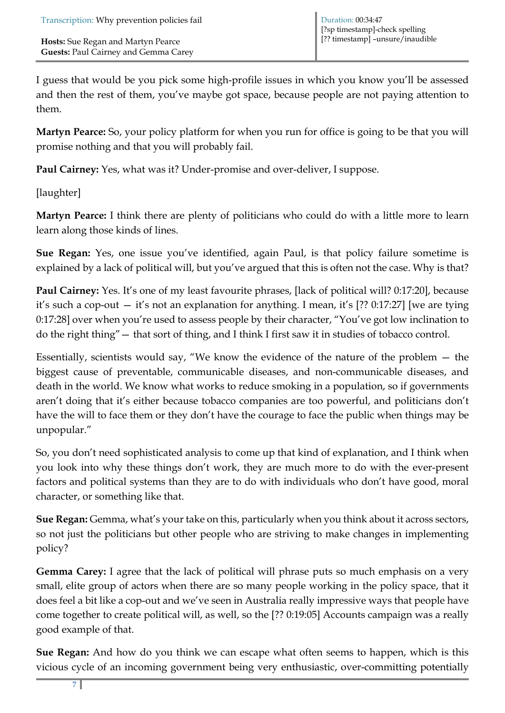I guess that would be you pick some high-profile issues in which you know you'll be assessed and then the rest of them, you've maybe got space, because people are not paying attention to them.

**Martyn Pearce:** So, your policy platform for when you run for office is going to be that you will promise nothing and that you will probably fail.

**Paul Cairney:** Yes, what was it? Under-promise and over-deliver, I suppose.

[laughter]

**Martyn Pearce:** I think there are plenty of politicians who could do with a little more to learn learn along those kinds of lines.

**Sue Regan:** Yes, one issue you've identified, again Paul, is that policy failure sometime is explained by a lack of political will, but you've argued that this is often not the case. Why is that?

**Paul Cairney:** Yes. It's one of my least favourite phrases, [lack of political will? 0:17:20], because it's such a cop-out — it's not an explanation for anything. I mean, it's [?? 0:17:27] [we are tying 0:17:28] over when you're used to assess people by their character, "You've got low inclination to do the right thing"— that sort of thing, and I think I first saw it in studies of tobacco control.

Essentially, scientists would say, "We know the evidence of the nature of the problem — the biggest cause of preventable, communicable diseases, and non-communicable diseases, and death in the world. We know what works to reduce smoking in a population, so if governments aren't doing that it's either because tobacco companies are too powerful, and politicians don't have the will to face them or they don't have the courage to face the public when things may be unpopular."

So, you don't need sophisticated analysis to come up that kind of explanation, and I think when you look into why these things don't work, they are much more to do with the ever-present factors and political systems than they are to do with individuals who don't have good, moral character, or something like that.

**Sue Regan:** Gemma, what's your take on this, particularly when you think about it across sectors, so not just the politicians but other people who are striving to make changes in implementing policy?

**Gemma Carey:** I agree that the lack of political will phrase puts so much emphasis on a very small, elite group of actors when there are so many people working in the policy space, that it does feel a bit like a cop-out and we've seen in Australia really impressive ways that people have come together to create political will, as well, so the [?? 0:19:05] Accounts campaign was a really good example of that.

**Sue Regan:** And how do you think we can escape what often seems to happen, which is this vicious cycle of an incoming government being very enthusiastic, over-committing potentially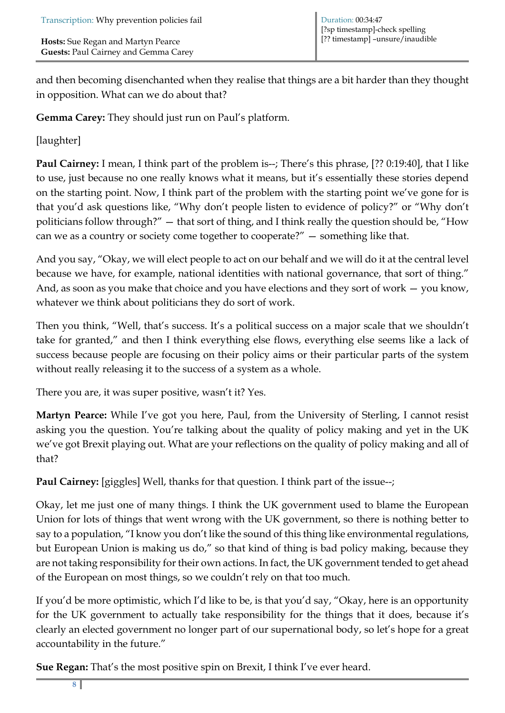and then becoming disenchanted when they realise that things are a bit harder than they thought in opposition. What can we do about that?

**Gemma Carey:** They should just run on Paul's platform.

[laughter]

**Paul Cairney:** I mean, I think part of the problem is--; There's this phrase, [?? 0:19:40], that I like to use, just because no one really knows what it means, but it's essentially these stories depend on the starting point. Now, I think part of the problem with the starting point we've gone for is that you'd ask questions like, "Why don't people listen to evidence of policy?" or "Why don't politicians follow through?" — that sort of thing, and I think really the question should be, "How can we as a country or society come together to cooperate?" — something like that.

And you say, "Okay, we will elect people to act on our behalf and we will do it at the central level because we have, for example, national identities with national governance, that sort of thing." And, as soon as you make that choice and you have elections and they sort of work — you know, whatever we think about politicians they do sort of work.

Then you think, "Well, that's success. It's a political success on a major scale that we shouldn't take for granted," and then I think everything else flows, everything else seems like a lack of success because people are focusing on their policy aims or their particular parts of the system without really releasing it to the success of a system as a whole.

There you are, it was super positive, wasn't it? Yes.

**Martyn Pearce:** While I've got you here, Paul, from the University of Sterling, I cannot resist asking you the question. You're talking about the quality of policy making and yet in the UK we've got Brexit playing out. What are your reflections on the quality of policy making and all of that?

**Paul Cairney:** [giggles] Well, thanks for that question. I think part of the issue--;

Okay, let me just one of many things. I think the UK government used to blame the European Union for lots of things that went wrong with the UK government, so there is nothing better to say to a population, "I know you don't like the sound of this thing like environmental regulations, but European Union is making us do," so that kind of thing is bad policy making, because they are not taking responsibility for their own actions. In fact, the UK government tended to get ahead of the European on most things, so we couldn't rely on that too much.

If you'd be more optimistic, which I'd like to be, is that you'd say, "Okay, here is an opportunity for the UK government to actually take responsibility for the things that it does, because it's clearly an elected government no longer part of our supernational body, so let's hope for a great accountability in the future."

**Sue Regan:** That's the most positive spin on Brexit, I think I've ever heard.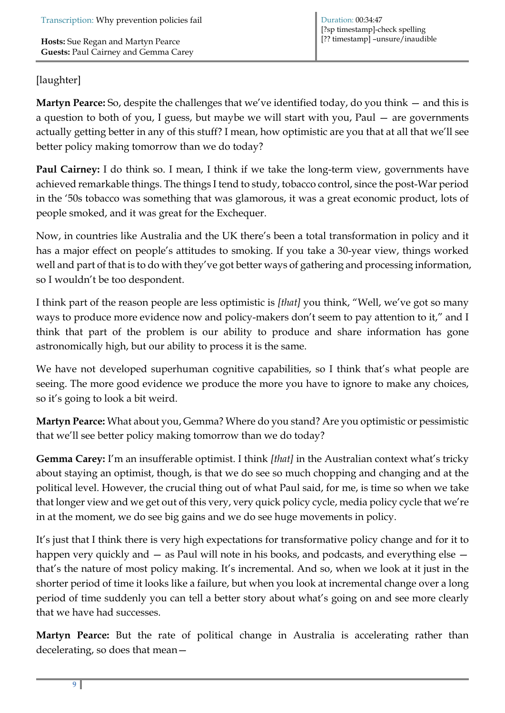### [laughter]

**Martyn Pearce:** So, despite the challenges that we've identified today, do you think — and this is a question to both of you, I guess, but maybe we will start with you, Paul — are governments actually getting better in any of this stuff? I mean, how optimistic are you that at all that we'll see better policy making tomorrow than we do today?

**Paul Cairney:** I do think so. I mean, I think if we take the long-term view, governments have achieved remarkable things. The things I tend to study, tobacco control, since the post-War period in the '50s tobacco was something that was glamorous, it was a great economic product, lots of people smoked, and it was great for the Exchequer.

Now, in countries like Australia and the UK there's been a total transformation in policy and it has a major effect on people's attitudes to smoking. If you take a 30-year view, things worked well and part of that is to do with they've got better ways of gathering and processing information, so I wouldn't be too despondent.

I think part of the reason people are less optimistic is *[that]* you think, "Well, we've got so many ways to produce more evidence now and policy-makers don't seem to pay attention to it," and I think that part of the problem is our ability to produce and share information has gone astronomically high, but our ability to process it is the same.

We have not developed superhuman cognitive capabilities, so I think that's what people are seeing. The more good evidence we produce the more you have to ignore to make any choices, so it's going to look a bit weird.

**Martyn Pearce:** What about you, Gemma? Where do you stand? Are you optimistic or pessimistic that we'll see better policy making tomorrow than we do today?

**Gemma Carey:** I'm an insufferable optimist. I think *[that]* in the Australian context what's tricky about staying an optimist, though, is that we do see so much chopping and changing and at the political level. However, the crucial thing out of what Paul said, for me, is time so when we take that longer view and we get out of this very, very quick policy cycle, media policy cycle that we're in at the moment, we do see big gains and we do see huge movements in policy.

It's just that I think there is very high expectations for transformative policy change and for it to happen very quickly and  $-$  as Paul will note in his books, and podcasts, and everything else  $$ that's the nature of most policy making. It's incremental. And so, when we look at it just in the shorter period of time it looks like a failure, but when you look at incremental change over a long period of time suddenly you can tell a better story about what's going on and see more clearly that we have had successes.

**Martyn Pearce:** But the rate of political change in Australia is accelerating rather than decelerating, so does that mean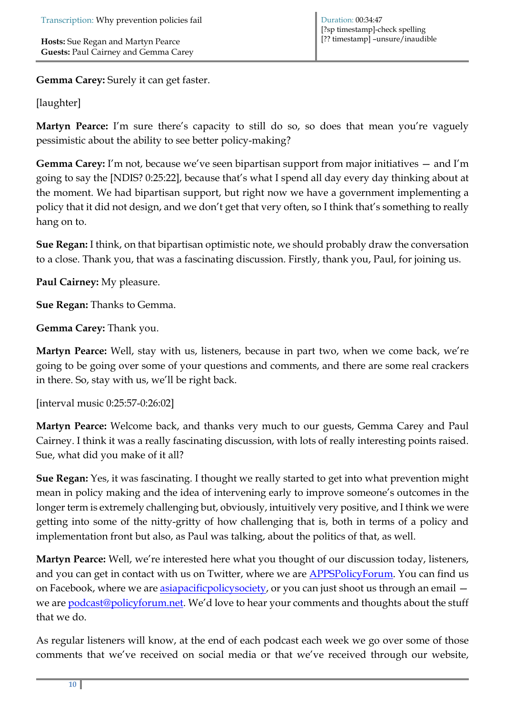**Gemma Carey:** Surely it can get faster.

#### [laughter]

**Martyn Pearce:** I'm sure there's capacity to still do so, so does that mean you're vaguely pessimistic about the ability to see better policy-making?

**Gemma Carey:** I'm not, because we've seen bipartisan support from major initiatives — and I'm going to say the [NDIS? 0:25:22], because that's what I spend all day every day thinking about at the moment. We had bipartisan support, but right now we have a government implementing a policy that it did not design, and we don't get that very often, so I think that's something to really hang on to.

**Sue Regan:** I think, on that bipartisan optimistic note, we should probably draw the conversation to a close. Thank you, that was a fascinating discussion. Firstly, thank you, Paul, for joining us.

**Paul Cairney:** My pleasure.

**Sue Regan:** Thanks to Gemma.

**Gemma Carey:** Thank you.

**Martyn Pearce:** Well, stay with us, listeners, because in part two, when we come back, we're going to be going over some of your questions and comments, and there are some real crackers in there. So, stay with us, we'll be right back.

[interval music 0:25:57-0:26:02]

**Martyn Pearce:** Welcome back, and thanks very much to our guests, Gemma Carey and Paul Cairney. I think it was a really fascinating discussion, with lots of really interesting points raised. Sue, what did you make of it all?

**Sue Regan:** Yes, it was fascinating. I thought we really started to get into what prevention might mean in policy making and the idea of intervening early to improve someone's outcomes in the longer term is extremely challenging but, obviously, intuitively very positive, and I think we were getting into some of the nitty-gritty of how challenging that is, both in terms of a policy and implementation front but also, as Paul was talking, about the politics of that, as well.

**Martyn Pearce:** Well, we're interested here what you thought of our discussion today, listeners, and you can get in contact with us on Twitter, where we are **APPSPolicyForum**. You can find us on Facebook, where we are [asiapacificpolicysociety,](https://www.facebook.com/asiapacificpolicysociety) or you can just shoot us through an email we are **podcast@policyforum.net**. We'd love to hear your comments and thoughts about the stuff that we do.

As regular listeners will know, at the end of each podcast each week we go over some of those comments that we've received on social media or that we've received through our website,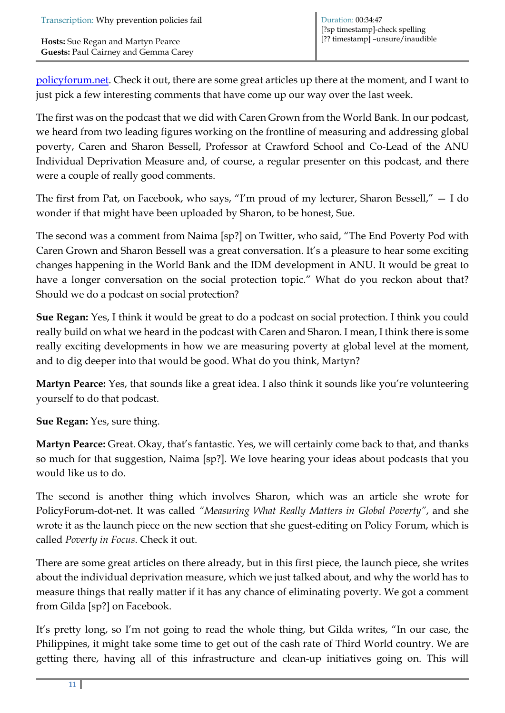[policyforum.net.](http://www.policyforum.net/) Check it out, there are some great articles up there at the moment, and I want to just pick a few interesting comments that have come up our way over the last week.

The first was on the podcast that we did with Caren Grown from the World Bank. In our podcast, we heard from two leading figures working on the frontline of measuring and addressing global poverty, Caren and Sharon Bessell, Professor at Crawford School and Co-Lead of the ANU Individual Deprivation Measure and, of course, a regular presenter on this podcast, and there were a couple of really good comments.

The first from Pat, on Facebook, who says, "I'm proud of my lecturer, Sharon Bessell," — I do wonder if that might have been uploaded by Sharon, to be honest, Sue.

The second was a comment from Naima [sp?] on Twitter, who said, "The End Poverty Pod with Caren Grown and Sharon Bessell was a great conversation. It's a pleasure to hear some exciting changes happening in the World Bank and the IDM development in ANU. It would be great to have a longer conversation on the social protection topic." What do you reckon about that? Should we do a podcast on social protection?

**Sue Regan:** Yes, I think it would be great to do a podcast on social protection. I think you could really build on what we heard in the podcast with Caren and Sharon. I mean, I think there is some really exciting developments in how we are measuring poverty at global level at the moment, and to dig deeper into that would be good. What do you think, Martyn?

**Martyn Pearce:** Yes, that sounds like a great idea. I also think it sounds like you're volunteering yourself to do that podcast.

**Sue Regan:** Yes, sure thing.

**Martyn Pearce:** Great. Okay, that's fantastic. Yes, we will certainly come back to that, and thanks so much for that suggestion, Naima [sp?]. We love hearing your ideas about podcasts that you would like us to do.

The second is another thing which involves Sharon, which was an article she wrote for PolicyForum-dot-net. It was called *"Measuring What Really Matters in Global Poverty"*, and she wrote it as the launch piece on the new section that she guest-editing on Policy Forum, which is called *Poverty in Focus*. Check it out.

There are some great articles on there already, but in this first piece, the launch piece, she writes about the individual deprivation measure, which we just talked about, and why the world has to measure things that really matter if it has any chance of eliminating poverty. We got a comment from Gilda [sp?] on Facebook.

It's pretty long, so I'm not going to read the whole thing, but Gilda writes, "In our case, the Philippines, it might take some time to get out of the cash rate of Third World country. We are getting there, having all of this infrastructure and clean-up initiatives going on. This will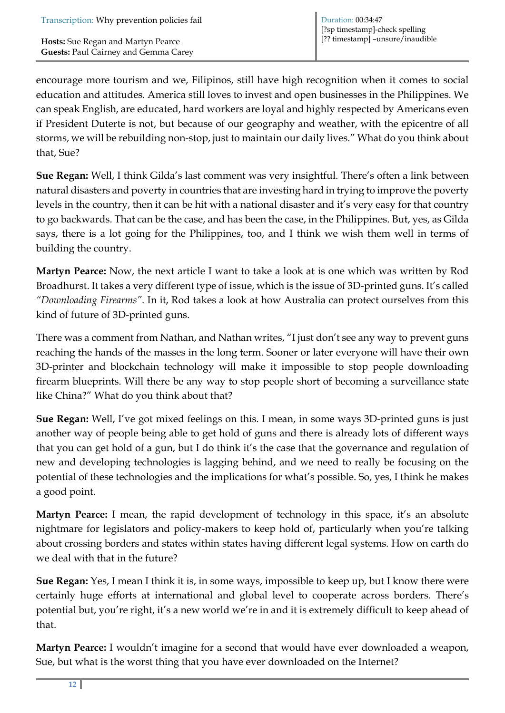encourage more tourism and we, Filipinos, still have high recognition when it comes to social education and attitudes. America still loves to invest and open businesses in the Philippines. We can speak English, are educated, hard workers are loyal and highly respected by Americans even if President Duterte is not, but because of our geography and weather, with the epicentre of all storms, we will be rebuilding non-stop, just to maintain our daily lives." What do you think about that, Sue?

**Sue Regan:** Well, I think Gilda's last comment was very insightful. There's often a link between natural disasters and poverty in countries that are investing hard in trying to improve the poverty levels in the country, then it can be hit with a national disaster and it's very easy for that country to go backwards. That can be the case, and has been the case, in the Philippines. But, yes, as Gilda says, there is a lot going for the Philippines, too, and I think we wish them well in terms of building the country.

**Martyn Pearce:** Now, the next article I want to take a look at is one which was written by Rod Broadhurst. It takes a very different type of issue, which is the issue of 3D-printed guns. It's called *"Downloading Firearms"*. In it, Rod takes a look at how Australia can protect ourselves from this kind of future of 3D-printed guns.

There was a comment from Nathan, and Nathan writes, "I just don't see any way to prevent guns reaching the hands of the masses in the long term. Sooner or later everyone will have their own 3D-printer and blockchain technology will make it impossible to stop people downloading firearm blueprints. Will there be any way to stop people short of becoming a surveillance state like China?" What do you think about that?

**Sue Regan:** Well, I've got mixed feelings on this. I mean, in some ways 3D-printed guns is just another way of people being able to get hold of guns and there is already lots of different ways that you can get hold of a gun, but I do think it's the case that the governance and regulation of new and developing technologies is lagging behind, and we need to really be focusing on the potential of these technologies and the implications for what's possible. So, yes, I think he makes a good point.

**Martyn Pearce:** I mean, the rapid development of technology in this space, it's an absolute nightmare for legislators and policy-makers to keep hold of, particularly when you're talking about crossing borders and states within states having different legal systems. How on earth do we deal with that in the future?

**Sue Regan:** Yes, I mean I think it is, in some ways, impossible to keep up, but I know there were certainly huge efforts at international and global level to cooperate across borders. There's potential but, you're right, it's a new world we're in and it is extremely difficult to keep ahead of that.

**Martyn Pearce:** I wouldn't imagine for a second that would have ever downloaded a weapon, Sue, but what is the worst thing that you have ever downloaded on the Internet?